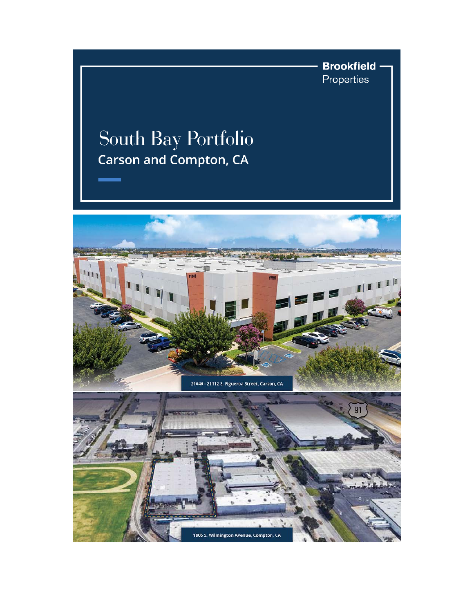

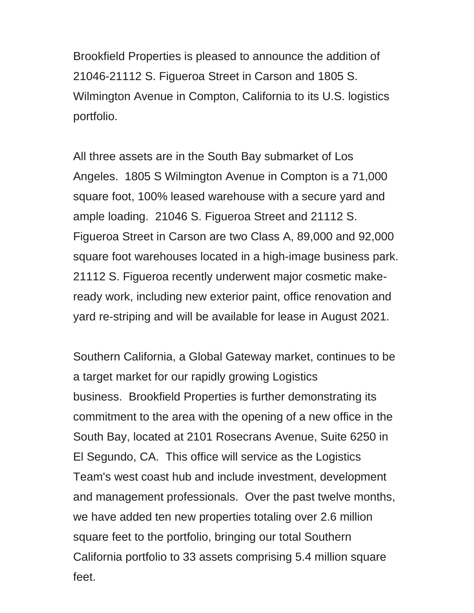Brookfield Properties is pleased to announce the addition of 21046-21112 S. Figueroa Street in Carson and 1805 S. Wilmington Avenue in Compton, California to its U.S. logistics portfolio.

All three assets are in the South Bay submarket of Los Angeles. 1805 S Wilmington Avenue in Compton is a 71,000 square foot, 100% leased warehouse with a secure yard and ample loading. 21046 S. Figueroa Street and 21112 S. Figueroa Street in Carson are two Class A, 89,000 and 92,000 square foot warehouses located in a high-image business park. 21112 S. Figueroa recently underwent major cosmetic makeready work, including new exterior paint, office renovation and yard re-striping and will be available for lease in August 2021.

Southern California, a Global Gateway market, continues to be a target market for our rapidly growing Logistics business. Brookfield Properties is further demonstrating its commitment to the area with the opening of a new office in the South Bay, located at 2101 Rosecrans Avenue, Suite 6250 in El Segundo, CA. This office will service as the Logistics Team's west coast hub and include investment, development and management professionals. Over the past twelve months, we have added ten new properties totaling over 2.6 million square feet to the portfolio, bringing our total Southern California portfolio to 33 assets comprising 5.4 million square feet.